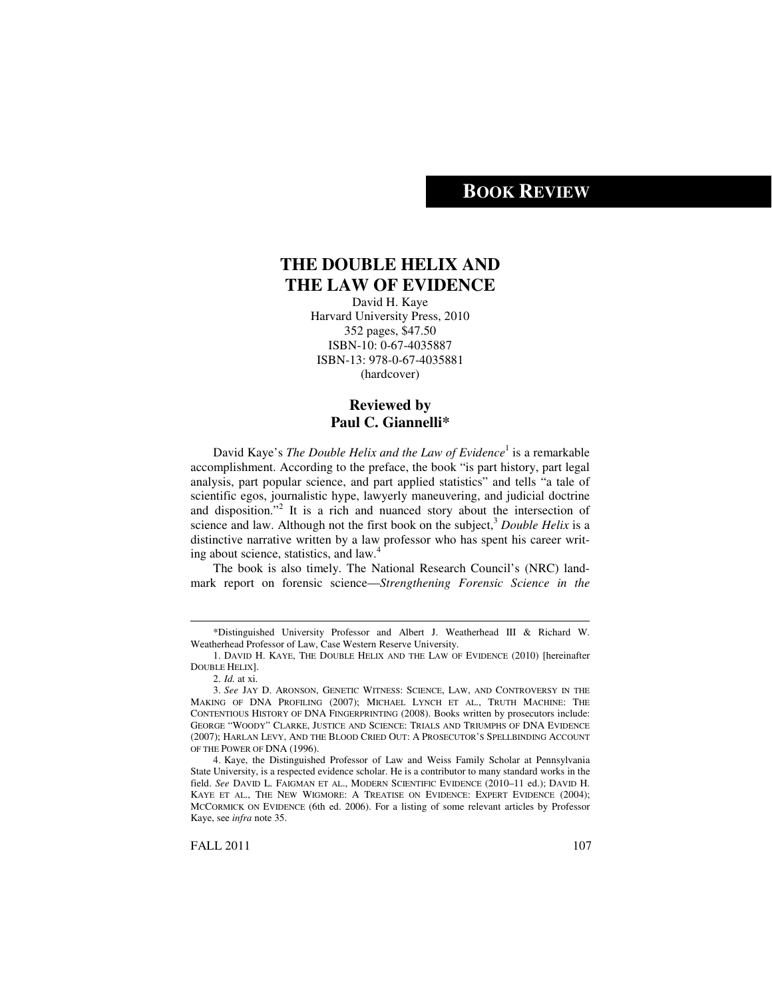# **BOOK REVIEW**

## **THE DOUBLE HELIX AND THE LAW OF EVIDENCE**

David H. Kaye Harvard University Press, 2010 352 pages, \$47.50 ISBN-10: 0-67-4035887 ISBN-13: 978-0-67-4035881 (hardcover)

## **Reviewed by Paul C. Giannelli\***

David Kaye's *The Double Helix and the Law of Evidence* 1 is a remarkable accomplishment. According to the preface, the book "is part history, part legal analysis, part popular science, and part applied statistics" and tells "a tale of scientific egos, journalistic hype, lawyerly maneuvering, and judicial doctrine and disposition." 2 It is a rich and nuanced story about the intersection of science and law. Although not the first book on the subject, <sup>3</sup> *Double Helix* is a distinctive narrative written by a law professor who has spent his career writing about science, statistics, and law. 4

The book is also timely. The National Research Council's (NRC) landmark report on forensic science—*Strengthening Forensic Science in the*

<sup>\*</sup>Distinguished University Professor and Albert J. Weatherhead III & Richard W. Weatherhead Professor of Law, Case Western Reserve University.

<sup>1.</sup> DAVID H. KAYE, THE DOUBLE HELIX AND THE LAW OF EVIDENCE (2010) [hereinafter DOUBLE HELIX].

<sup>2.</sup> *Id.* at xi.

<sup>3.</sup> *See* JAY D. ARONSON, GENETIC WITNESS: SCIENCE, LAW, AND CONTROVERSY IN THE MAKING OF DNA PROFILING (2007); MICHAEL LYNCH ET AL., TRUTH MACHINE: THE CONTENTIOUS HISTORY OF DNA FINGERPRINTING (2008). Books written by prosecutors include: GEORGE "WOODY" CLARKE, JUSTICE AND SCIENCE: TRIALS AND TRIUMPHS OF DNA EVIDENCE (2007); HARLAN LEVY, AND THE BLOOD CRIED OUT: A PROSECUTOR'S SPELLBINDING ACCOUNT OF THE POWER OF DNA (1996).

<sup>4.</sup> Kaye, the Distinguished Professor of Law and Weiss Family Scholar at Pennsylvania State University, is a respected evidence scholar. He is a contributor to many standard works in the field. *See* DAVID L. FAIGMAN ET AL., MODERN SCIENTIFIC EVIDENCE (2010–11 ed.); DAVID H. KAYE ET AL., THE NEW WIGMORE: A TREATISE ON EVIDENCE: EXPERT EVIDENCE (2004); MCCORMICK ON EVIDENCE (6th ed. 2006). For a listing of some relevant articles by Professor Kaye, see *infra* note 35.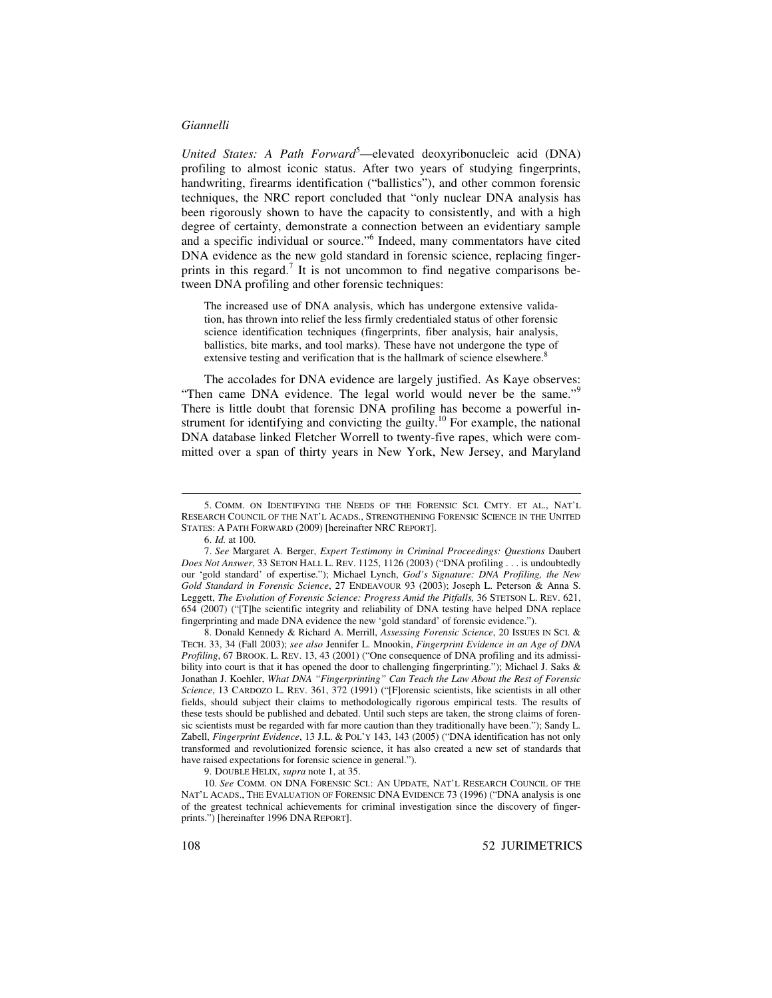*United States: A Path Forward* <sup>5</sup>—elevated deoxyribonucleic acid (DNA) profiling to almost iconic status. After two years of studying fingerprints, handwriting, firearms identification ("ballistics"), and other common forensic techniques, the NRC report concluded that "only nuclear DNA analysis has been rigorously shown to have the capacity to consistently, and with a high degree of certainty, demonstrate a connection between an evidentiary sample and a specific individual or source." 6 Indeed, many commentators have cited DNA evidence as the new gold standard in forensic science, replacing fingerprints in this regard.<sup>7</sup> It is not uncommon to find negative comparisons between DNA profiling and other forensic techniques:

The increased use of DNA analysis, which has undergone extensive validation, has thrown into relief the less firmly credentialed status of other forensic science identification techniques (fingerprints, fiber analysis, hair analysis, ballistics, bite marks, and tool marks). These have not undergone the type of extensive testing and verification that is the hallmark of science elsewhere.<sup>8</sup>

The accolades for DNA evidence are largely justified. As Kaye observes: "Then came DNA evidence. The legal world would never be the same."<sup>9</sup> There is little doubt that forensic DNA profiling has become a powerful instrument for identifying and convicting the guilty.<sup>10</sup> For example, the national DNA database linked Fletcher Worrell to twenty-five rapes, which were committed over a span of thirty years in New York, New Jersey, and Maryland

9. DOUBLE HELIX, *supra* note 1, at 35.

10. *See* COMM. ON DNA FORENSIC SCI.: AN UPDATE, NAT'L RESEARCH COUNCIL OF THE NAT'L ACADS., THE EVALUATION OF FORENSIC DNA EVIDENCE 73 (1996) ("DNA analysis is one of the greatest technical achievements for criminal investigation since the discovery of fingerprints.") [hereinafter 1996 DNA REPORT].

<sup>5.</sup> COMM. ON IDENTIFYING THE NEEDS OF THE FORENSIC SCI. CMTY. ET AL., NAT'L RESEARCH COUNCIL OF THE NAT'L ACADS., STRENGTHENING FORENSIC SCIENCE IN THE UNITED STATES: A PATH FORWARD (2009) [hereinafter NRC REPORT].

<sup>6.</sup> *Id.* at 100.

<sup>7.</sup> *See* Margaret A. Berger, *Expert Testimony in Criminal Proceedings: Questions* Daubert *Does Not Answer*, 33 SETON HALL L. REV. 1125, 1126 (2003) ("DNA profiling . . . is undoubtedly our 'gold standard' of expertise."); Michael Lynch, *God's Signature: DNA Profiling, the New Gold Standard in Forensic Science*, 27 ENDEAVOUR 93 (2003); Joseph L. Peterson & Anna S. Leggett, *The Evolution of Forensic Science: Progress Amid the Pitfalls,* 36 STETSON L. REV. 621, 654 (2007) ("[T]he scientific integrity and reliability of DNA testing have helped DNA replace fingerprinting and made DNA evidence the new 'gold standard' of forensic evidence.").

<sup>8.</sup> Donald Kennedy & Richard A. Merrill, *Assessing Forensic Science*, 20 ISSUES IN SCI. & TECH. 33, 34 (Fall 2003); *see also* Jennifer L. Mnookin, *Fingerprint Evidence in an Age of DNA Profiling*, 67 BROOK. L. REV. 13, 43 (2001) ("One consequence of DNA profiling and its admissibility into court is that it has opened the door to challenging fingerprinting."); Michael J. Saks & Jonathan J. Koehler, *What DNA "Fingerprinting" Can Teach the Law About the Rest of Forensic Science*, 13 CARDOZO L. REV. 361, 372 (1991) ("[F]orensic scientists, like scientists in all other fields, should subject their claims to methodologically rigorous empirical tests. The results of these tests should be published and debated. Until such steps are taken, the strong claims of forensic scientists must be regarded with far more caution than they traditionally have been."); Sandy L. Zabell, *Fingerprint Evidence*, 13 J.L. & POL'Y 143, 143 (2005) ("DNA identification has not only transformed and revolutionized forensic science, it has also created a new set of standards that have raised expectations for forensic science in general.").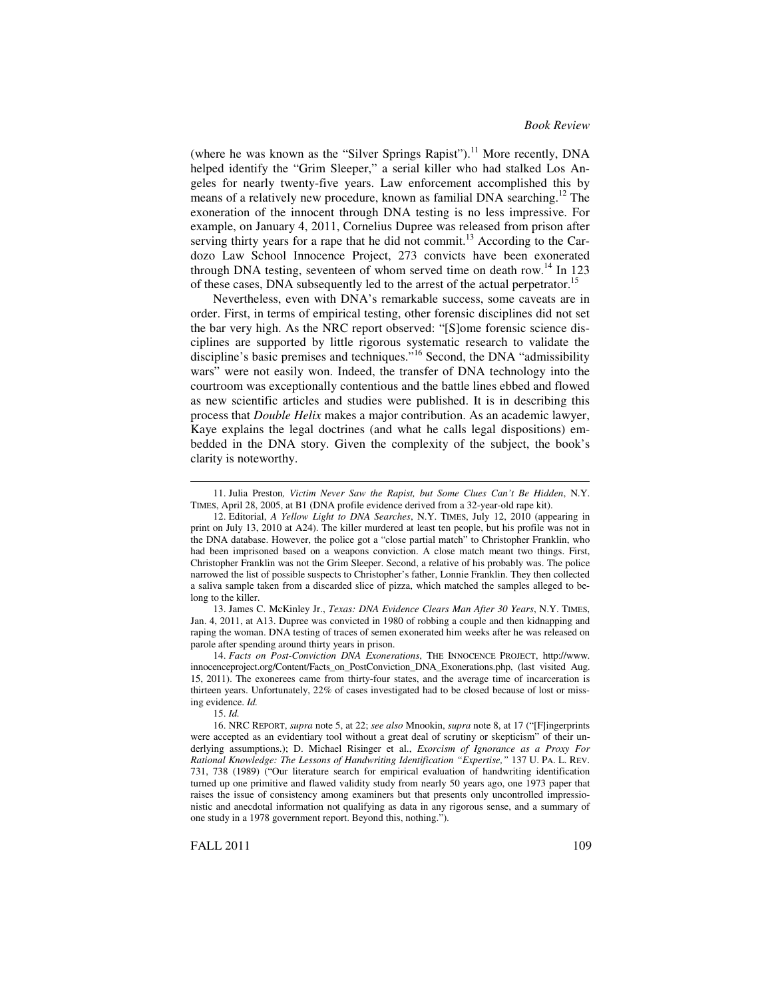(where he was known as the "Silver Springs Rapist").<sup>11</sup> More recently, DNA helped identify the "Grim Sleeper," a serial killer who had stalked Los Angeles for nearly twenty-five years. Law enforcement accomplished this by means of a relatively new procedure, known as familial DNA searching.<sup>12</sup> The exoneration of the innocent through DNA testing is no less impressive. For example, on January 4, 2011, Cornelius Dupree was released from prison after serving thirty years for a rape that he did not commit.<sup>13</sup> According to the Cardozo Law School Innocence Project, 273 convicts have been exonerated through DNA testing, seventeen of whom served time on death row.<sup>14</sup> In 123 of these cases, DNA subsequently led to the arrest of the actual perpetrator.<sup>15</sup>

Nevertheless, even with DNA's remarkable success, some caveats are in order. First, in terms of empirical testing, other forensic disciplines did not set the bar very high. As the NRC report observed: "[S]ome forensic science disciplines are supported by little rigorous systematic research to validate the discipline's basic premises and techniques."<sup>16</sup> Second, the DNA "admissibility wars" were not easily won. Indeed, the transfer of DNA technology into the courtroom was exceptionally contentious and the battle lines ebbed and flowed as new scientific articles and studies were published. It is in describing this process that *Double Helix* makes a major contribution. As an academic lawyer, Kaye explains the legal doctrines (and what he calls legal dispositions) embedded in the DNA story. Given the complexity of the subject, the book's clarity is noteworthy.

13. James C. McKinley Jr., *Texas: DNA Evidence Clears Man After 30 Years*, N.Y. TIMES, Jan. 4, 2011, at A13. Dupree was convicted in 1980 of robbing a couple and then kidnapping and raping the woman. DNA testing of traces of semen exonerated him weeks after he was released on parole after spending around thirty years in prison.

14. *Facts on Post-Conviction DNA Exonerations*, THE INNOCENCE PROJECT, http://www. innocenceproject.org/Content/Facts\_on\_PostConviction\_DNA\_Exonerations.php, (last visited Aug. 15, 2011). The exonerees came from thirty-four states, and the average time of incarceration is thirteen years. Unfortunately, 22% of cases investigated had to be closed because of lost or missing evidence. *Id.*

15. *Id.*

FALL 2011 109

<sup>11.</sup> Julia Preston*, Victim Never Saw the Rapist, but Some Clues Can't Be Hidden*, N.Y. TIMES, April 28, 2005, at B1 (DNA profile evidence derived from a 32-year-old rape kit).

<sup>12.</sup> Editorial, *A Yellow Light to DNA Searches*, N.Y. TIMES, July 12, 2010 (appearing in print on July 13, 2010 at A24). The killer murdered at least ten people, but his profile was not in the DNA database. However, the police got a "close partial match" to Christopher Franklin, who had been imprisoned based on a weapons conviction. A close match meant two things. First, Christopher Franklin was not the Grim Sleeper. Second, a relative of his probably was. The police narrowed the list of possible suspects to Christopher's father, Lonnie Franklin. They then collected a saliva sample taken from a discarded slice of pizza, which matched the samples alleged to belong to the killer.

<sup>16.</sup> NRC REPORT, *supra* note 5, at 22; *see also* Mnookin, *supra* note 8, at 17 ("[F]ingerprints were accepted as an evidentiary tool without a great deal of scrutiny or skepticism" of their underlying assumptions.); D. Michael Risinger et al., *Exorcism of Ignorance as a Proxy For Rational Knowledge: The Lessons of Handwriting Identification "Expertise,"* 137 U. PA. L. REV. 731, 738 (1989) ("Our literature search for empirical evaluation of handwriting identification turned up one primitive and flawed validity study from nearly 50 years ago, one 1973 paper that raises the issue of consistency among examiners but that presents only uncontrolled impressionistic and anecdotal information not qualifying as data in any rigorous sense, and a summary of one study in a 1978 government report. Beyond this, nothing.").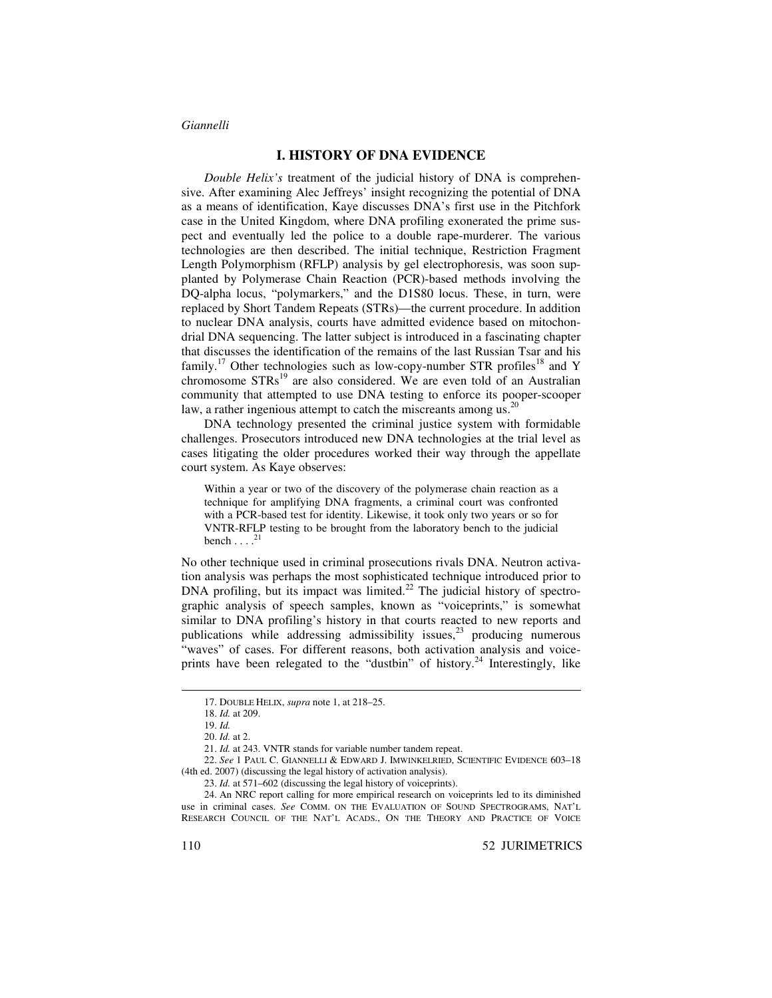### **I. HISTORY OF DNA EVIDENCE**

*Double Helix's* treatment of the judicial history of DNA is comprehensive. After examining Alec Jeffreys' insight recognizing the potential of DNA as a means of identification, Kaye discusses DNA's first use in the Pitchfork case in the United Kingdom, where DNA profiling exonerated the prime suspect and eventually led the police to a double rape-murderer. The various technologies are then described. The initial technique, Restriction Fragment Length Polymorphism (RFLP) analysis by gel electrophoresis, was soon supplanted by Polymerase Chain Reaction (PCR)-based methods involving the DQ-alpha locus, "polymarkers," and the D1S80 locus. These, in turn, were replaced by Short Tandem Repeats (STRs)—the current procedure. In addition to nuclear DNA analysis, courts have admitted evidence based on mitochondrial DNA sequencing. The latter subject is introduced in a fascinating chapter that discusses the identification of the remains of the last Russian Tsar and his family.<sup>17</sup> Other technologies such as low-copy-number STR profiles<sup>18</sup> and Y chromosome STRs<sup>19</sup> are also considered. We are even told of an Australian community that attempted to use DNA testing to enforce its pooper-scooper law, a rather ingenious attempt to catch the miscreants among us.<sup>20</sup>

DNA technology presented the criminal justice system with formidable challenges. Prosecutors introduced new DNA technologies at the trial level as cases litigating the older procedures worked their way through the appellate court system. As Kaye observes:

Within a year or two of the discovery of the polymerase chain reaction as a technique for amplifying DNA fragments, a criminal court was confronted with a PCR-based test for identity. Likewise, it took only two years or so for VNTR-RFLP testing to be brought from the laboratory bench to the judicial bench  $\dots$ <sup>21</sup>

No other technique used in criminal prosecutions rivals DNA. Neutron activation analysis was perhaps the most sophisticated technique introduced prior to DNA profiling, but its impact was limited.<sup>22</sup> The judicial history of spectrographic analysis of speech samples, known as "voiceprints," is somewhat similar to DNA profiling's history in that courts reacted to new reports and publications while addressing admissibility issues,<sup>23</sup> producing numerous "waves" of cases. For different reasons, both activation analysis and voiceprints have been relegated to the "dustbin" of history.<sup>24</sup> Interestingly, like

<sup>17.</sup> DOUBLE HELIX, *supra* note 1, at 218–25.

<sup>18.</sup> *Id.* at 209.

<sup>19.</sup> *Id.*

<sup>20.</sup> *Id.* at 2.

<sup>21.</sup> *Id.* at 243. VNTR stands for variable number tandem repeat.

<sup>22.</sup> *See* 1 PAUL C. GIANNELLI & EDWARD J. IMWINKELRIED, SCIENTIFIC EVIDENCE 603–18 (4th ed. 2007) (discussing the legal history of activation analysis).

<sup>23.</sup> *Id.* at 571–602 (discussing the legal history of voiceprints).

<sup>24.</sup> An NRC report calling for more empirical research on voiceprints led to its diminished use in criminal cases. *See* COMM. ON THE EVALUATION OF SOUND SPECTROGRAMS, NAT'L RESEARCH COUNCIL OF THE NAT'L ACADS., ON THE THEORY AND PRACTICE OF VOICE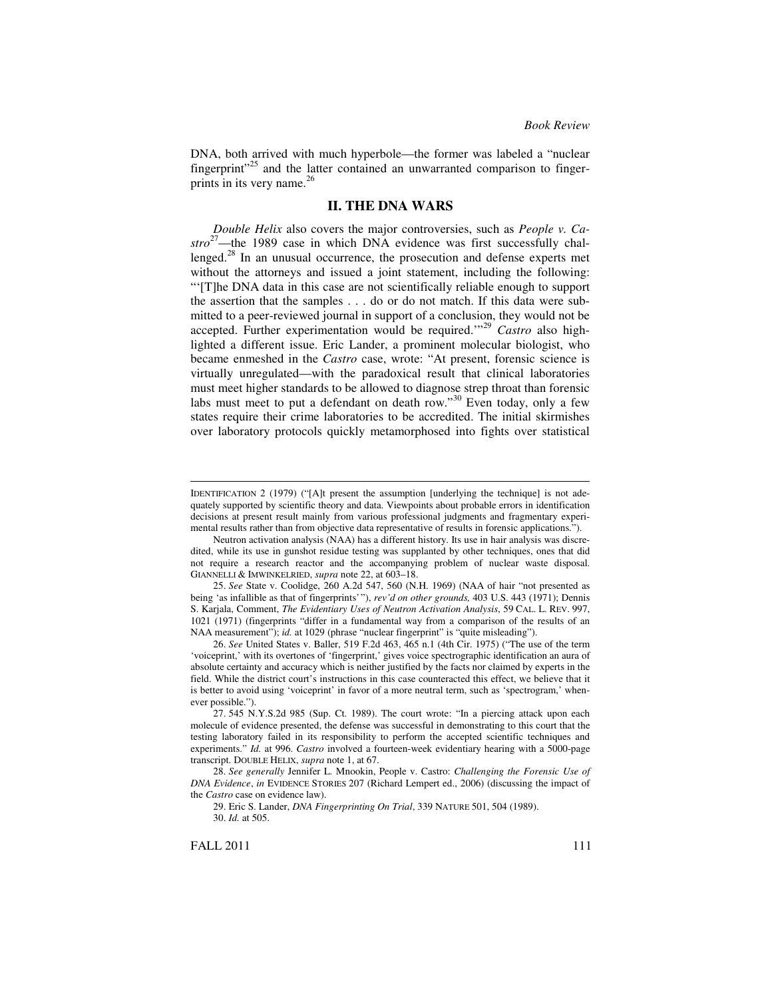DNA, both arrived with much hyperbole—the former was labeled a "nuclear fingerprint"<sup>25</sup> and the latter contained an unwarranted comparison to fingerprints in its very name. 26

## **II. THE DNA WARS**

*Double Helix* also covers the major controversies, such as *People v. Castro* <sup>27</sup>—the 1989 case in which DNA evidence was first successfully challenged.<sup>28</sup> In an unusual occurrence, the prosecution and defense experts met without the attorneys and issued a joint statement, including the following: "'[T]he DNA data in this case are not scientifically reliable enough to support the assertion that the samples . . . do or do not match. If this data were submitted to a peer-reviewed journal in support of a conclusion, they would not be accepted. Further experimentation would be required.'" <sup>29</sup> *Castro* also highlighted a different issue. Eric Lander, a prominent molecular biologist, who became enmeshed in the *Castro* case, wrote: "At present, forensic science is virtually unregulated—with the paradoxical result that clinical laboratories must meet higher standards to be allowed to diagnose strep throat than forensic labs must meet to put a defendant on death row."<sup>30</sup> Even today, only a few states require their crime laboratories to be accredited. The initial skirmishes over laboratory protocols quickly metamorphosed into fights over statistical

IDENTIFICATION 2 (1979) ("[A]t present the assumption [underlying the technique] is not adequately supported by scientific theory and data. Viewpoints about probable errors in identification decisions at present result mainly from various professional judgments and fragmentary experimental results rather than from objective data representative of results in forensic applications.").

Neutron activation analysis (NAA) has a different history. Its use in hair analysis was discredited, while its use in gunshot residue testing was supplanted by other techniques, ones that did not require a research reactor and the accompanying problem of nuclear waste disposal. GIANNELLI & IMWINKELRIED, *supra* note 22, at 603–18.

<sup>25.</sup> *See* State v. Coolidge, 260 A.2d 547, 560 (N.H. 1969) (NAA of hair "not presented as being 'as infallible as that of fingerprints'"), *rev'd on other grounds,* 403 U.S. 443 (1971); Dennis S. Karjala, Comment, *The Evidentiary Uses of Neutron Activation Analysis*, 59 CAL. L. REV. 997, 1021 (1971) (fingerprints "differ in a fundamental way from a comparison of the results of an NAA measurement"); *id.* at 1029 (phrase "nuclear fingerprint" is "quite misleading").

<sup>26.</sup> *See* United States v. Baller, 519 F.2d 463, 465 n.1 (4th Cir. 1975) ("The use of the term 'voiceprint,' with its overtones of 'fingerprint,' gives voice spectrographic identification an aura of absolute certainty and accuracy which is neither justified by the facts nor claimed by experts in the field. While the district court's instructions in this case counteracted this effect, we believe that it is better to avoid using 'voiceprint' in favor of a more neutral term, such as 'spectrogram,' whenever possible.").

<sup>27.</sup> 545 N.Y.S.2d 985 (Sup. Ct. 1989). The court wrote: "In a piercing attack upon each molecule of evidence presented, the defense was successful in demonstrating to this court that the testing laboratory failed in its responsibility to perform the accepted scientific techniques and experiments." *Id.* at 996. *Castro* involved a fourteen-week evidentiary hearing with a 5000-page transcript. DOUBLE HELIX, *supra* note 1, at 67.

<sup>28.</sup> *See generally* Jennifer L. Mnookin, People v. Castro: *Challenging the Forensic Use of DNA Evidence*, *in* EVIDENCE STORIES 207 (Richard Lempert ed., 2006) (discussing the impact of the *Castro* case on evidence law).

<sup>29.</sup> Eric S. Lander, *DNA Fingerprinting On Trial*, 339 NATURE 501, 504 (1989). 30. *Id.* at 505.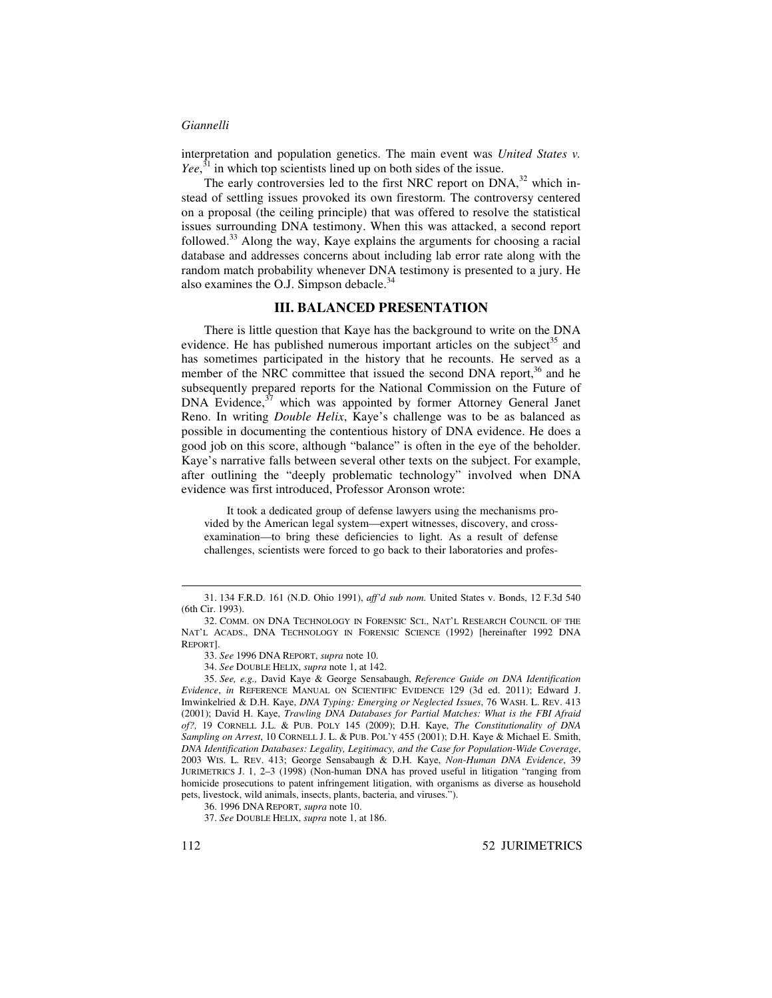interpretation and population genetics. The main event was *United States v. Yee*,<sup>31</sup> in which top scientists lined up on both sides of the issue.

The early controversies led to the first NRC report on  $DNA$ ,<sup>32</sup> which instead of settling issues provoked its own firestorm. The controversy centered on a proposal (the ceiling principle) that was offered to resolve the statistical issues surrounding DNA testimony. When this was attacked, a second report followed.<sup>33</sup> Along the way, Kaye explains the arguments for choosing a racial database and addresses concerns about including lab error rate along with the random match probability whenever DNA testimony is presented to a jury. He also examines the O.J. Simpson debacle.<sup>34</sup>

## **III. BALANCED PRESENTATION**

There is little question that Kaye has the background to write on the DNA evidence. He has published numerous important articles on the subject<sup>35</sup> and has sometimes participated in the history that he recounts. He served as a member of the NRC committee that issued the second DNA report,<sup>36</sup> and he subsequently prepared reports for the National Commission on the Future of DNA Evidence,<sup>37</sup> which was appointed by former Attorney General Janet Reno. In writing *Double Helix*, Kaye's challenge was to be as balanced as possible in documenting the contentious history of DNA evidence. He does a good job on this score, although "balance" is often in the eye of the beholder. Kaye's narrative falls between several other texts on the subject. For example, after outlining the "deeply problematic technology" involved when DNA evidence was first introduced, Professor Aronson wrote:

It took a dedicated group of defense lawyers using the mechanisms provided by the American legal system—expert witnesses, discovery, and crossexamination—to bring these deficiencies to light. As a result of defense challenges, scientists were forced to go back to their laboratories and profes-

<sup>31.</sup> 134 F.R.D. 161 (N.D. Ohio 1991), *aff'd sub nom.* United States v. Bonds, 12 F.3d 540 (6th Cir. 1993).

<sup>32.</sup> COMM. ON DNA TECHNOLOGY IN FORENSIC SCI., NAT'L RESEARCH COUNCIL OF THE NAT'L ACADS., DNA TECHNOLOGY IN FORENSIC SCIENCE (1992) [hereinafter 1992 DNA REPORT].

<sup>33.</sup> *See* 1996 DNA REPORT, *supra* note 10.

<sup>34.</sup> *See* DOUBLE HELIX, *supra* note 1, at 142.

<sup>35.</sup> *See, e.g.,* David Kaye & George Sensabaugh, *Reference Guide on DNA Identification Evidence*, *in* REFERENCE MANUAL ON SCIENTIFIC EVIDENCE 129 (3d ed. 2011); Edward J. Imwinkelried & D.H. Kaye, *DNA Typing: Emerging or Neglected Issues*, 76 WASH. L. REV. 413 (2001); David H. Kaye, *Trawling DNA Databases for Partial Matches: What is the FBI Afraid of?,* 19 CORNELL J.L. & PUB. POLY 145 (2009); D.H. Kaye, *The Constitutionality of DNA Sampling on Arrest*, 10 CORNELL J. L. & PUB. POL'Y 455 (2001); D.H. Kaye & Michael E. Smith, *DNA Identification Databases: Legality, Legitimacy, and the Case for Population-Wide Coverage*, 2003 WIS. L. REV. 413; George Sensabaugh & D.H. Kaye, *Non-Human DNA Evidence*, 39 JURIMETRICS J. 1, 2–3 (1998) (Non-human DNA has proved useful in litigation "ranging from homicide prosecutions to patent infringement litigation, with organisms as diverse as household pets, livestock, wild animals, insects, plants, bacteria, and viruses.").

<sup>36.</sup> 1996 DNA REPORT, *supra* note 10.

<sup>37.</sup> *See* DOUBLE HELIX, *supra* note 1, at 186.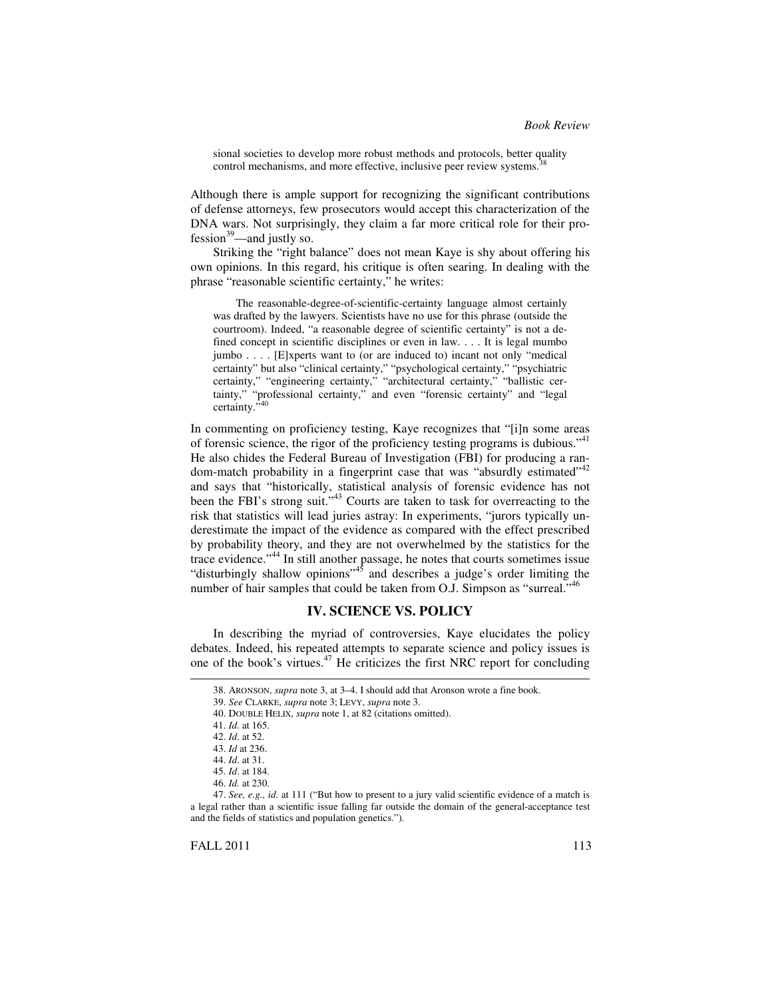sional societies to develop more robust methods and protocols, better quality control mechanisms, and more effective, inclusive peer review systems. 38

Although there is ample support for recognizing the significant contributions of defense attorneys, few prosecutors would accept this characterization of the DNA wars. Not surprisingly, they claim a far more critical role for their pro $fession<sup>39</sup>$ —and justly so.

Striking the "right balance" does not mean Kaye is shy about offering his own opinions. In this regard, his critique is often searing. In dealing with the phrase "reasonable scientific certainty," he writes:

The reasonable-degree-of-scientific-certainty language almost certainly was drafted by the lawyers. Scientists have no use for this phrase (outside the courtroom). Indeed, "a reasonable degree of scientific certainty" is not a defined concept in scientific disciplines or even in law. . . . It is legal mumbo jumbo . . . . [E]xperts want to (or are induced to) incant not only "medical certainty" but also "clinical certainty," "psychological certainty," "psychiatric certainty," "engineering certainty," "architectural certainty," "ballistic certainty," "professional certainty," and even "forensic certainty" and "legal certainty." 40

In commenting on proficiency testing, Kaye recognizes that "[i]n some areas of forensic science, the rigor of the proficiency testing programs is dubious."<sup>41</sup> He also chides the Federal Bureau of Investigation (FBI) for producing a random-match probability in a fingerprint case that was "absurdly estimated"<sup>42</sup> and says that "historically, statistical analysis of forensic evidence has not been the FBI's strong suit."<sup>43</sup> Courts are taken to task for overreacting to the risk that statistics will lead juries astray: In experiments, "jurors typically underestimate the impact of the evidence as compared with the effect prescribed by probability theory, and they are not overwhelmed by the statistics for the trace evidence." 44 In still another passage, he notes that courts sometimes issue "disturbingly shallow opinions"<sup>45</sup> and describes a judge's order limiting the number of hair samples that could be taken from O.J. Simpson as "surreal."<sup>46</sup>

## **IV. SCIENCE VS. POLICY**

In describing the myriad of controversies, Kaye elucidates the policy debates. Indeed, his repeated attempts to separate science and policy issues is one of the book's virtues. <sup>47</sup> He criticizes the first NRC report for concluding

<sup>38.</sup> ARONSON, *supra* note 3, at 3–4. I should add that Aronson wrote a fine book.

<sup>39.</sup> *See* CLARKE, *supra* note 3; LEVY, *supra* note 3.

<sup>40.</sup> DOUBLE HELIX, *supra* note 1, at 82 (citations omitted).

<sup>41.</sup> *Id.* at 165.

<sup>42.</sup> *Id*. at 52.

<sup>43.</sup> *Id* at 236.

<sup>44.</sup> *Id*. at 31.

<sup>45.</sup> *Id*. at 184.

<sup>46.</sup> *Id.* at 230.

<sup>47.</sup> *See, e.g., id.* at 111 ("But how to present to a jury valid scientific evidence of a match is a legal rather than a scientific issue falling far outside the domain of the general-acceptance test and the fields of statistics and population genetics.").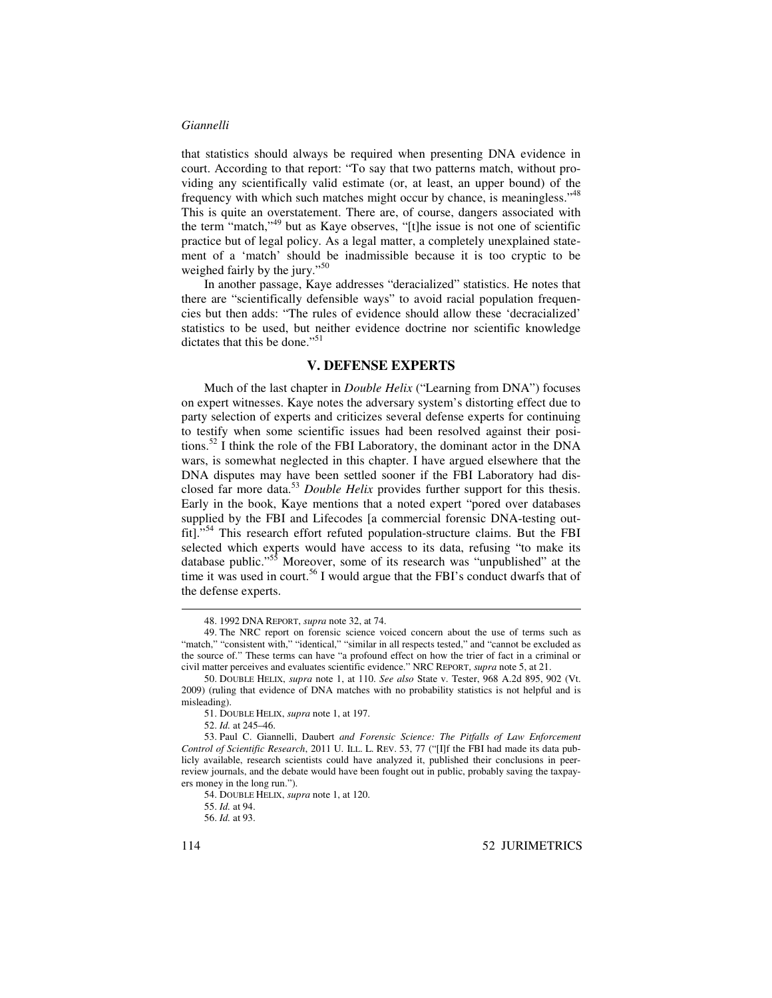that statistics should always be required when presenting DNA evidence in court. According to that report: "To say that two patterns match, without providing any scientifically valid estimate (or, at least, an upper bound) of the frequency with which such matches might occur by chance, is meaningless."<sup>48</sup> This is quite an overstatement. There are, of course, dangers associated with the term "match," 49 but as Kaye observes, "[t]he issue is not one of scientific practice but of legal policy. As a legal matter, a completely unexplained statement of a 'match' should be inadmissible because it is too cryptic to be weighed fairly by the jury."<sup>50</sup>

In another passage, Kaye addresses "deracialized" statistics. He notes that there are "scientifically defensible ways" to avoid racial population frequencies but then adds: "The rules of evidence should allow these 'decracialized' statistics to be used, but neither evidence doctrine nor scientific knowledge dictates that this be done."<sup>51</sup>

## **V. DEFENSE EXPERTS**

Much of the last chapter in *Double Helix* ("Learning from DNA") focuses on expert witnesses. Kaye notes the adversary system's distorting effect due to party selection of experts and criticizes several defense experts for continuing to testify when some scientific issues had been resolved against their positions.<sup>52</sup> I think the role of the FBI Laboratory, the dominant actor in the DNA wars, is somewhat neglected in this chapter. I have argued elsewhere that the DNA disputes may have been settled sooner if the FBI Laboratory had disclosed far more data. <sup>53</sup> *Double Helix* provides further support for this thesis. Early in the book, Kaye mentions that a noted expert "pored over databases supplied by the FBI and Lifecodes [a commercial forensic DNA-testing outfit]."<sup>54</sup> This research effort refuted population-structure claims. But the FBI selected which experts would have access to its data, refusing "to make its database public."<sup>55</sup> Moreover, some of its research was "unpublished" at the time it was used in court. 56 I would argue that the FBI's conduct dwarfs that of the defense experts.

<sup>48.</sup> 1992 DNA REPORT, *supra* note 32, at 74.

<sup>49.</sup> The NRC report on forensic science voiced concern about the use of terms such as "match," "consistent with," "identical," "similar in all respects tested," and "cannot be excluded as the source of." These terms can have "a profound effect on how the trier of fact in a criminal or civil matter perceives and evaluates scientific evidence." NRC REPORT, *supra* note 5, at 21.

<sup>50.</sup> DOUBLE HELIX, *supra* note 1, at 110. *See also* State v. Tester, 968 A.2d 895, 902 (Vt. 2009) (ruling that evidence of DNA matches with no probability statistics is not helpful and is misleading).

<sup>51.</sup> DOUBLE HELIX, *supra* note 1, at 197.

<sup>52.</sup> *Id.* at 245–46.

<sup>53.</sup> Paul C. Giannelli, Daubert *and Forensic Science: The Pitfalls of Law Enforcement Control of Scientific Research*, 2011 U. ILL. L. REV. 53, 77 ("[I]f the FBI had made its data publicly available, research scientists could have analyzed it, published their conclusions in peerreview journals, and the debate would have been fought out in public, probably saving the taxpayers money in the long run.").

<sup>54.</sup> DOUBLE HELIX, *supra* note 1, at 120.

<sup>55.</sup> *Id.* at 94.

<sup>56.</sup> *Id.* at 93.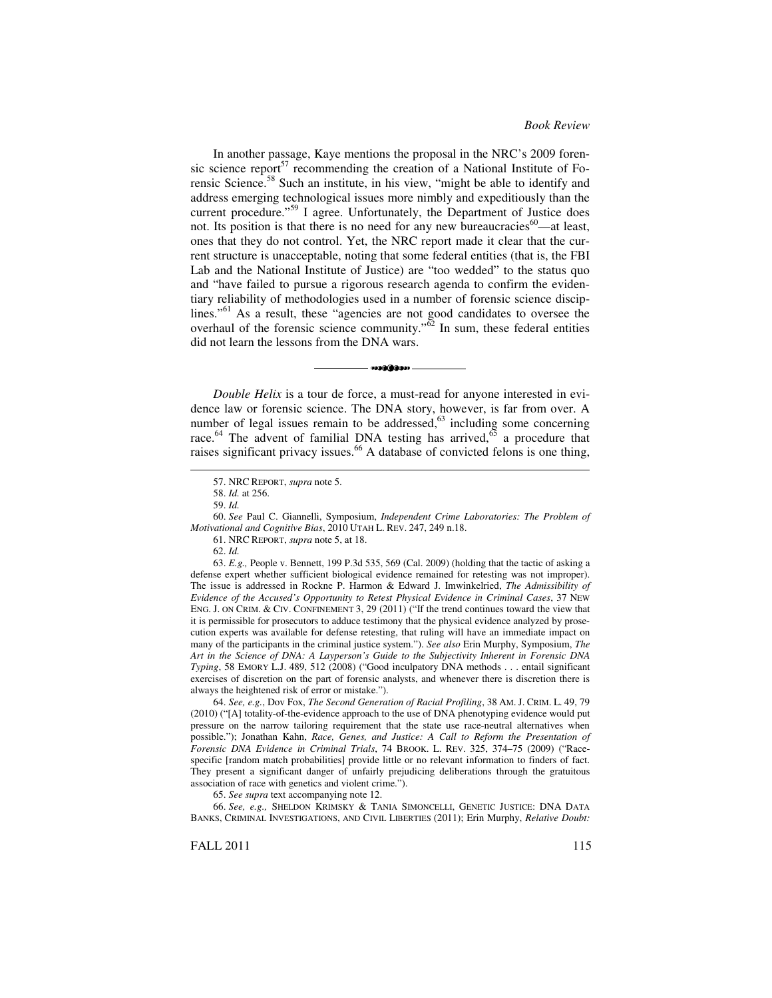In another passage, Kaye mentions the proposal in the NRC's 2009 forensic science report<sup>57</sup> recommending the creation of a National Institute of Forensic Science.<sup>58</sup> Such an institute, in his view, "might be able to identify and address emerging technological issues more nimbly and expeditiously than the current procedure."<sup>59</sup> I agree. Unfortunately, the Department of Justice does not. Its position is that there is no need for any new bureaucracies<sup>60</sup>—at least, ones that they do not control. Yet, the NRC report made it clear that the current structure is unacceptable, noting that some federal entities (that is, the FBI Lab and the National Institute of Justice) are "too wedded" to the status quo and "have failed to pursue a rigorous research agenda to confirm the evidentiary reliability of methodologies used in a number of forensic science disciplines."<sup>61</sup> As a result, these "agencies are not good candidates to oversee the overhaul of the forensic science community." $\delta^2$  In sum, these federal entities did not learn the lessons from the DNA wars.

*Double Helix* is a tour de force, a must-read for anyone interested in evidence law or forensic science. The DNA story, however, is far from over. A number of legal issues remain to be addressed,<sup>63</sup> including some concerning race.<sup>64</sup> The advent of familial DNA testing has arrived,<sup>65</sup> a procedure that raises significant privacy issues.<sup>66</sup> A database of convicted felons is one thing,

**and diamo** 

64. *See, e.g.*, Dov Fox, *The Second Generation of Racial Profiling*, 38 AM. J. CRIM. L. 49, 79 (2010) ("[A] totality-of-the-evidence approach to the use of DNA phenotyping evidence would put pressure on the narrow tailoring requirement that the state use race-neutral alternatives when possible."); Jonathan Kahn, *Race, Genes, and Justice: A Call to Reform the Presentation of Forensic DNA Evidence in Criminal Trials*, 74 BROOK. L. REV. 325, 374–75 (2009) ("Racespecific [random match probabilities] provide little or no relevant information to finders of fact. They present a significant danger of unfairly prejudicing deliberations through the gratuitous association of race with genetics and violent crime.").

65. *See supra* text accompanying note 12.

66. *See, e.g.,* SHELDON KRIMSKY & TANIA SIMONCELLI, GENETIC JUSTICE: DNA DATA BANKS, CRIMINAL INVESTIGATIONS, AND CIVIL LIBERTIES (2011); Erin Murphy, *Relative Doubt:*

<sup>57.</sup> NRC REPORT, *supra* note 5.

<sup>58.</sup> *Id.* at 256.

<sup>59.</sup> *Id.*

<sup>60.</sup> *See* Paul C. Giannelli, Symposium, *Independent Crime Laboratories: The Problem of Motivational and Cognitive Bias*, 2010 UTAH L. REV. 247, 249 n.18.

<sup>61.</sup> NRC REPORT, *supra* note 5, at 18.

<sup>62.</sup> *Id.*

<sup>63.</sup> *E.g.,* People v. Bennett, 199 P.3d 535, 569 (Cal. 2009) (holding that the tactic of asking a defense expert whether sufficient biological evidence remained for retesting was not improper). The issue is addressed in Rockne P. Harmon & Edward J. Imwinkelried, *The Admissibility of Evidence of the Accused's Opportunity to Retest Physical Evidence in Criminal Cases*, 37 NEW ENG. J. ON CRIM. & CIV. CONFINEMENT 3, 29 (2011) ("If the trend continues toward the view that it is permissible for prosecutors to adduce testimony that the physical evidence analyzed by prosecution experts was available for defense retesting, that ruling will have an immediate impact on many of the participants in the criminal justice system."). *See also* Erin Murphy, Symposium, *The Art in the Science of DNA: A Layperson's Guide to the Subjectivity Inherent in Forensic DNA Typing*, 58 EMORY L.J. 489, 512 (2008) ("Good inculpatory DNA methods . . . entail significant exercises of discretion on the part of forensic analysts, and whenever there is discretion there is always the heightened risk of error or mistake.").